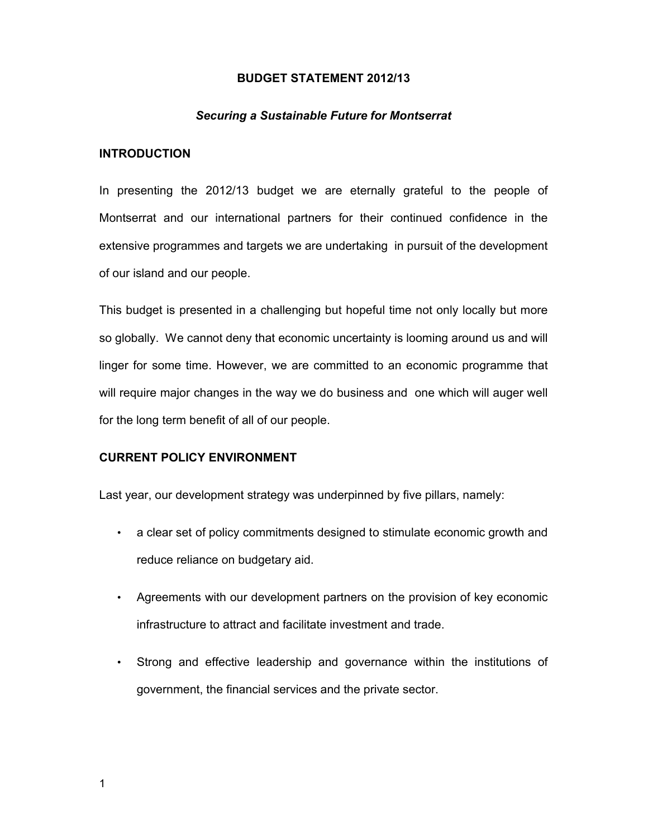### **BUDGET STATEMENT 2012/13**

#### *Securing a Sustainable Future for Montserrat*

### **INTRODUCTION**

In presenting the 2012/13 budget we are eternally grateful to the people of Montserrat and our international partners for their continued confidence in the extensive programmes and targets we are undertaking in pursuit of the development of our island and our people.

This budget is presented in a challenging but hopeful time not only locally but more so globally. We cannot deny that economic uncertainty is looming around us and will linger for some time. However, we are committed to an economic programme that will require major changes in the way we do business and one which will auger well for the long term benefit of all of our people.

### **CURRENT POLICY ENVIRONMENT**

Last year, our development strategy was underpinned by five pillars, namely:

- a clear set of policy commitments designed to stimulate economic growth and reduce reliance on budgetary aid.
- Agreements with our development partners on the provision of key economic infrastructure to attract and facilitate investment and trade.
- Strong and effective leadership and governance within the institutions of government, the financial services and the private sector.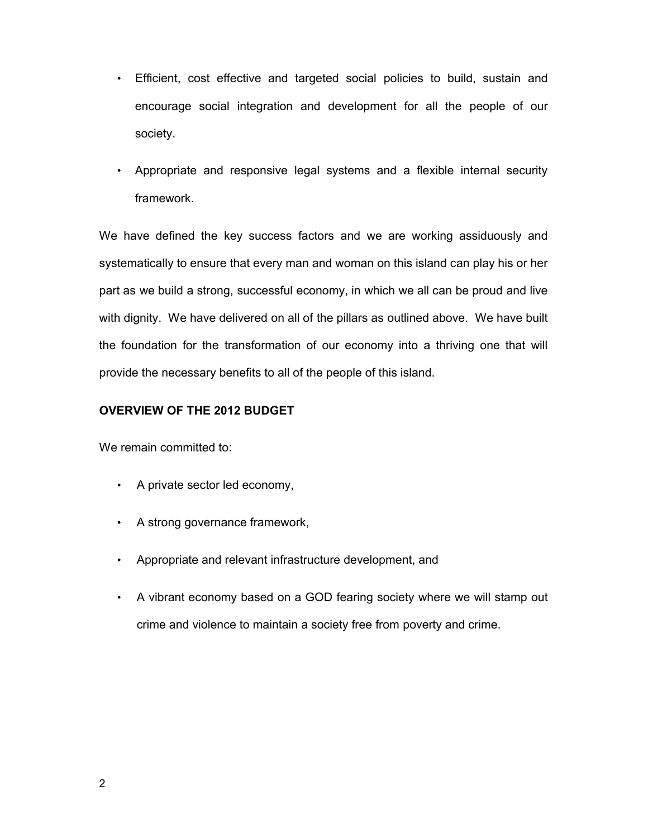- Efficient, cost effective and targeted social policies to build, sustain and encourage social integration and development for all the people of our society.
- Appropriate and responsive legal systems and a flexible internal security framework.

We have defined the key success factors and we are working assiduously and systematically to ensure that every man and woman on this island can play his or her part as we build a strong, successful economy, in which we all can be proud and live with dignity. We have delivered on all of the pillars as outlined above. We have built the foundation for the transformation of our economy into a thriving one that will provide the necessary benefits to all of the people of this island.

# **OVERVIEW OF THE 2012 BUDGET**

We remain committed to:

- A private sector led economy,
- A strong governance framework,
- Appropriate and relevant infrastructure development, and
- A vibrant economy based on a GOD fearing society where we will stamp out crime and violence to maintain a society free from poverty and crime.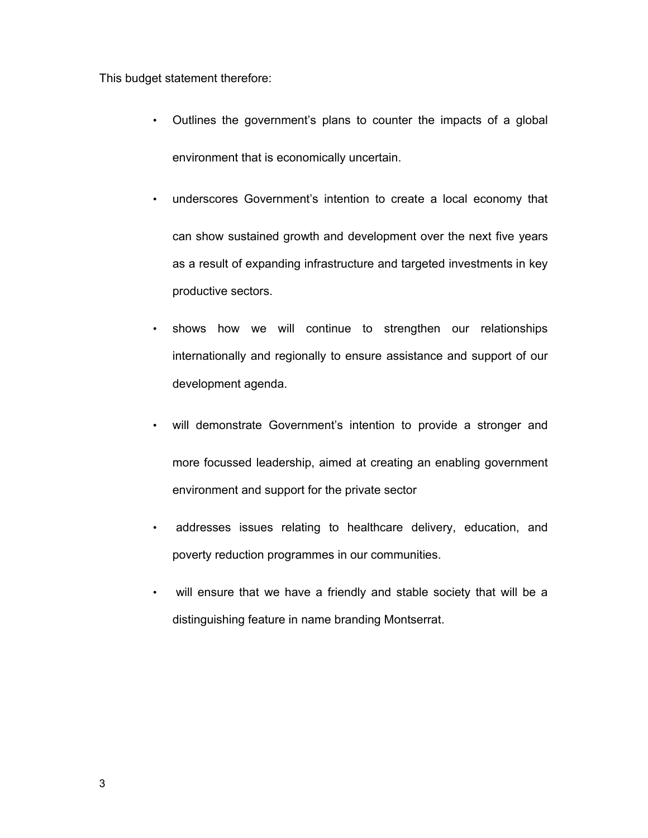This budget statement therefore:

- Outlines the government's plans to counter the impacts of a global environment that is economically uncertain.
- underscores Government's intention to create a local economy that can show sustained growth and development over the next five years as a result of expanding infrastructure and targeted investments in key productive sectors.
- shows how we will continue to strengthen our relationships internationally and regionally to ensure assistance and support of our development agenda.
- will demonstrate Government's intention to provide a stronger and more focussed leadership, aimed at creating an enabling government environment and support for the private sector
- addresses issues relating to healthcare delivery, education, and poverty reduction programmes in our communities.
- will ensure that we have a friendly and stable society that will be a distinguishing feature in name branding Montserrat.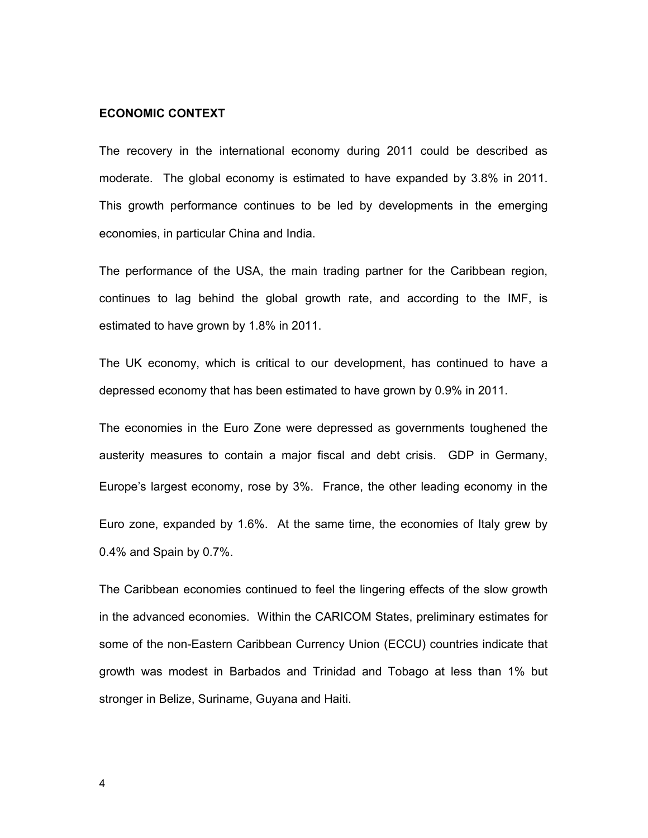# **ECONOMIC CONTEXT**

The recovery in the international economy during 2011 could be described as moderate. The global economy is estimated to have expanded by 3.8% in 2011. This growth performance continues to be led by developments in the emerging economies, in particular China and India.

The performance of the USA, the main trading partner for the Caribbean region, continues to lag behind the global growth rate, and according to the IMF, is estimated to have grown by 1.8% in 2011.

The UK economy, which is critical to our development, has continued to have a depressed economy that has been estimated to have grown by 0.9% in 2011.

The economies in the Euro Zone were depressed as governments toughened the austerity measures to contain a major fiscal and debt crisis. GDP in Germany, Europe's largest economy, rose by 3%. France, the other leading economy in the Euro zone, expanded by 1.6%. At the same time, the economies of Italy grew by 0.4% and Spain by 0.7%.

The Caribbean economies continued to feel the lingering effects of the slow growth in the advanced economies. Within the CARICOM States, preliminary estimates for some of the non-Eastern Caribbean Currency Union (ECCU) countries indicate that growth was modest in Barbados and Trinidad and Tobago at less than 1% but stronger in Belize, Suriname, Guyana and Haiti.

4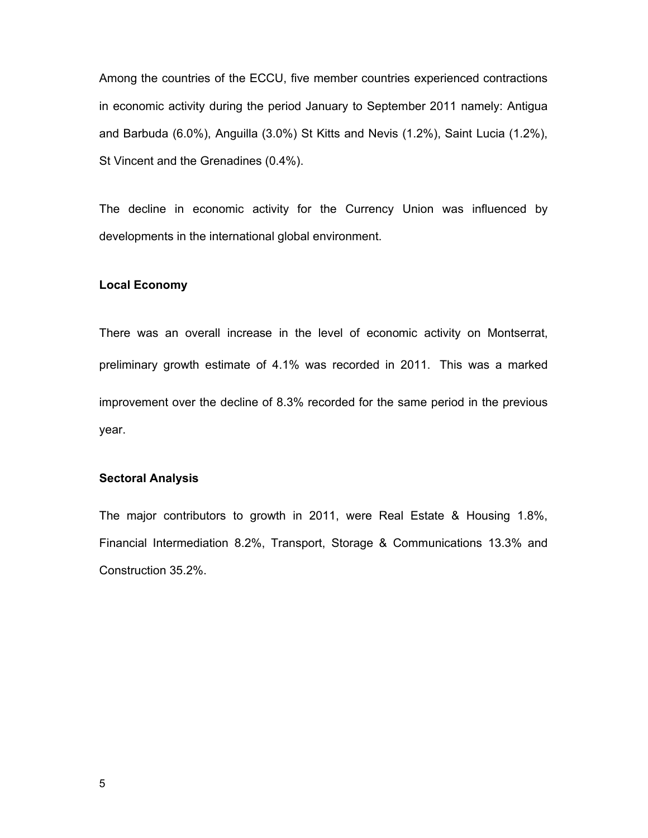Among the countries of the ECCU, five member countries experienced contractions in economic activity during the period January to September 2011 namely: Antigua and Barbuda (6.0%), Anguilla (3.0%) St Kitts and Nevis (1.2%), Saint Lucia (1.2%), St Vincent and the Grenadines (0.4%).

The decline in economic activity for the Currency Union was influenced by developments in the international global environment.

### **Local Economy**

There was an overall increase in the level of economic activity on Montserrat, preliminary growth estimate of 4.1% was recorded in 2011. This was a marked improvement over the decline of 8.3% recorded for the same period in the previous year.

## **Sectoral Analysis**

The major contributors to growth in 2011, were Real Estate & Housing 1.8%, Financial Intermediation 8.2%, Transport, Storage & Communications 13.3% and Construction 35.2%.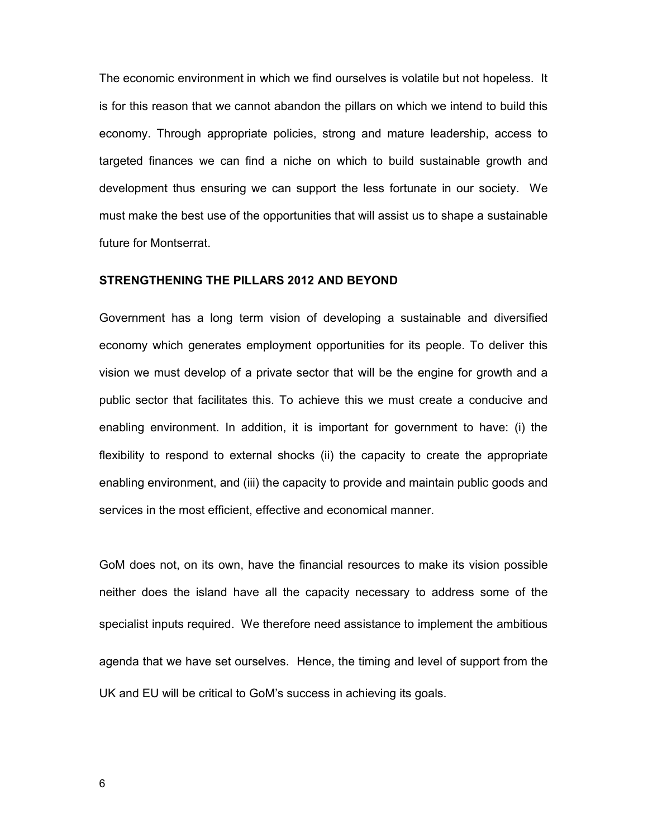The economic environment in which we find ourselves is volatile but not hopeless. It is for this reason that we cannot abandon the pillars on which we intend to build this economy. Through appropriate policies, strong and mature leadership, access to targeted finances we can find a niche on which to build sustainable growth and development thus ensuring we can support the less fortunate in our society. We must make the best use of the opportunities that will assist us to shape a sustainable future for Montserrat.

# **STRENGTHENING THE PILLARS 2012 AND BEYOND**

Government has a long term vision of developing a sustainable and diversified economy which generates employment opportunities for its people. To deliver this vision we must develop of a private sector that will be the engine for growth and a public sector that facilitates this. To achieve this we must create a conducive and enabling environment. In addition, it is important for government to have: (i) the flexibility to respond to external shocks (ii) the capacity to create the appropriate enabling environment, and (iii) the capacity to provide and maintain public goods and services in the most efficient, effective and economical manner.

GoM does not, on its own, have the financial resources to make its vision possible neither does the island have all the capacity necessary to address some of the specialist inputs required. We therefore need assistance to implement the ambitious agenda that we have set ourselves. Hence, the timing and level of support from the UK and EU will be critical to GoM's success in achieving its goals.

6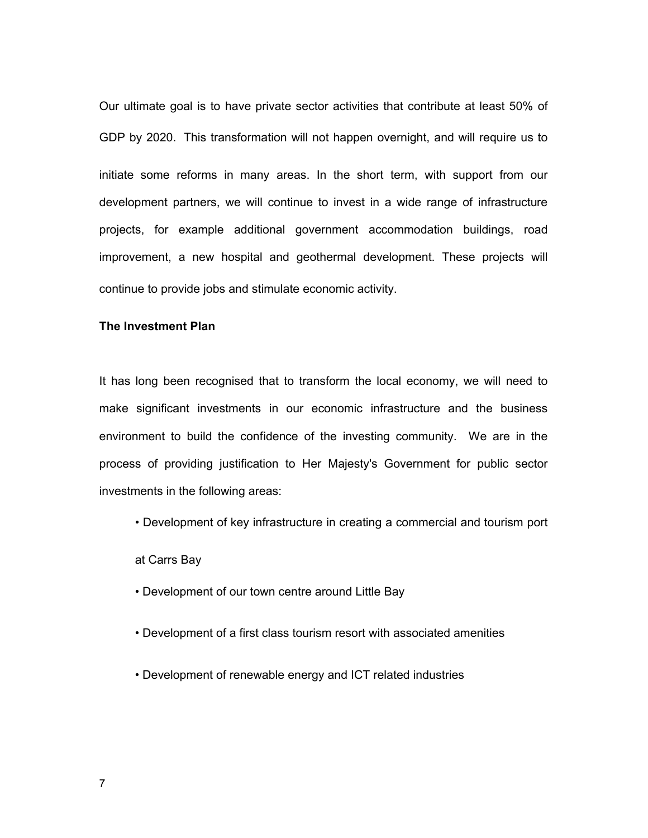Our ultimate goal is to have private sector activities that contribute at least 50% of GDP by 2020. This transformation will not happen overnight, and will require us to initiate some reforms in many areas. In the short term, with support from our development partners, we will continue to invest in a wide range of infrastructure projects, for example additional government accommodation buildings, road improvement, a new hospital and geothermal development. These projects will continue to provide jobs and stimulate economic activity.

# **The Investment Plan**

It has long been recognised that to transform the local economy, we will need to make significant investments in our economic infrastructure and the business environment to build the confidence of the investing community. We are in the process of providing justification to Her Majesty's Government for public sector investments in the following areas:

• Development of key infrastructure in creating a commercial and tourism port

at Carrs Bay

- Development of our town centre around Little Bay
- Development of a first class tourism resort with associated amenities
- Development of renewable energy and ICT related industries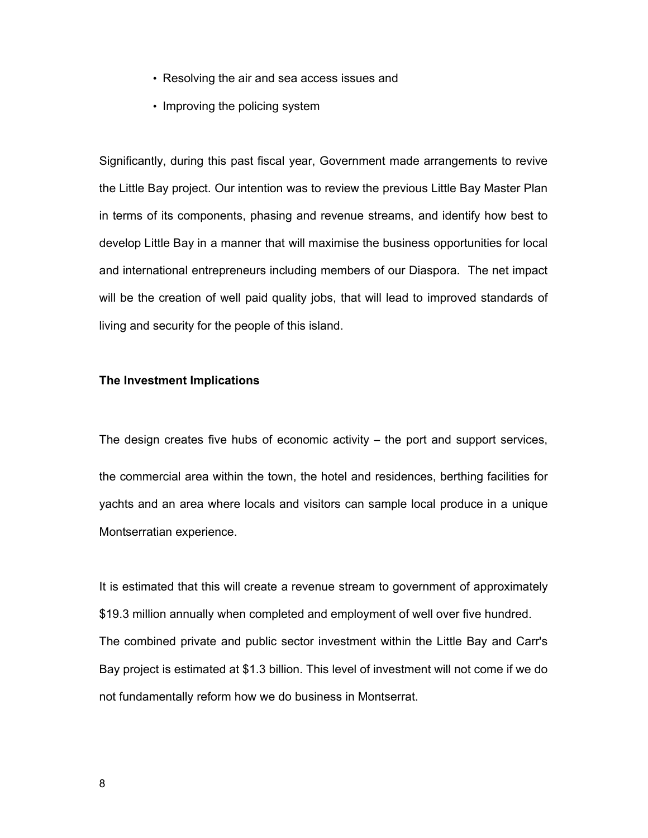- Resolving the air and sea access issues and
- Improving the policing system

Significantly, during this past fiscal year, Government made arrangements to revive the Little Bay project. Our intention was to review the previous Little Bay Master Plan in terms of its components, phasing and revenue streams, and identify how best to develop Little Bay in a manner that will maximise the business opportunities for local and international entrepreneurs including members of our Diaspora. The net impact will be the creation of well paid quality jobs, that will lead to improved standards of living and security for the people of this island.

## **The Investment Implications**

The design creates five hubs of economic activity – the port and support services,

the commercial area within the town, the hotel and residences, berthing facilities for yachts and an area where locals and visitors can sample local produce in a unique Montserratian experience.

It is estimated that this will create a revenue stream to government of approximately \$19.3 million annually when completed and employment of well over five hundred. The combined private and public sector investment within the Little Bay and Carr's Bay project is estimated at \$1.3 billion. This level of investment will not come if we do not fundamentally reform how we do business in Montserrat.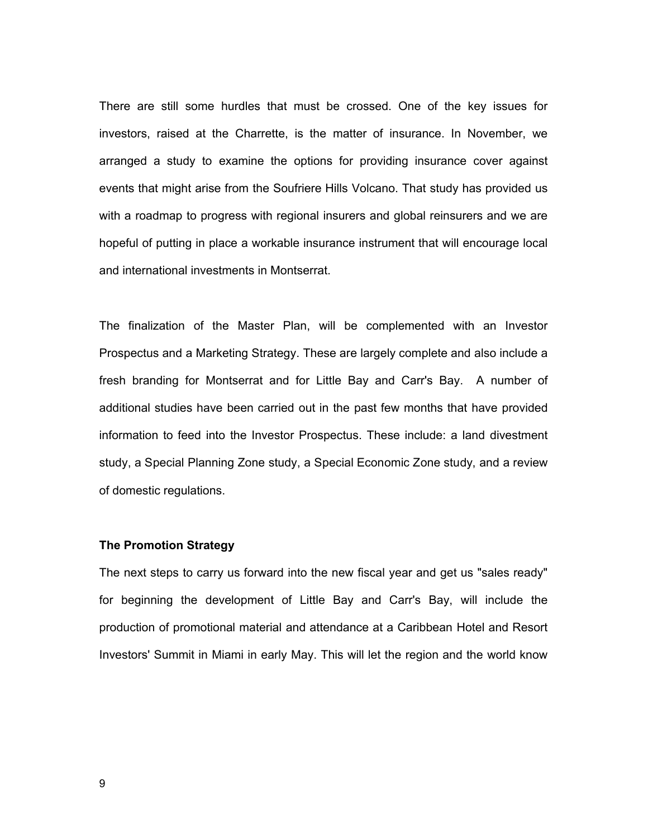There are still some hurdles that must be crossed. One of the key issues for investors, raised at the Charrette, is the matter of insurance. In November, we arranged a study to examine the options for providing insurance cover against events that might arise from the Soufriere Hills Volcano. That study has provided us with a roadmap to progress with regional insurers and global reinsurers and we are hopeful of putting in place a workable insurance instrument that will encourage local and international investments in Montserrat.

The finalization of the Master Plan, will be complemented with an Investor Prospectus and a Marketing Strategy. These are largely complete and also include a fresh branding for Montserrat and for Little Bay and Carr's Bay. A number of additional studies have been carried out in the past few months that have provided information to feed into the Investor Prospectus. These include: a land divestment study, a Special Planning Zone study, a Special Economic Zone study, and a review of domestic regulations.

#### **The Promotion Strategy**

The next steps to carry us forward into the new fiscal year and get us "sales ready" for beginning the development of Little Bay and Carr's Bay, will include the production of promotional material and attendance at a Caribbean Hotel and Resort Investors' Summit in Miami in early May. This will let the region and the world know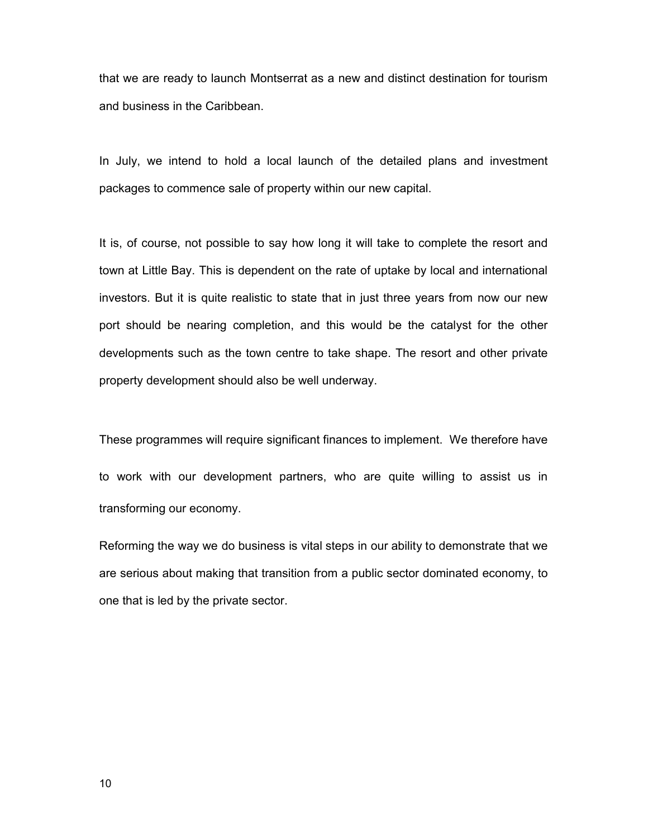that we are ready to launch Montserrat as a new and distinct destination for tourism and business in the Caribbean.

In July, we intend to hold a local launch of the detailed plans and investment packages to commence sale of property within our new capital.

It is, of course, not possible to say how long it will take to complete the resort and town at Little Bay. This is dependent on the rate of uptake by local and international investors. But it is quite realistic to state that in just three years from now our new port should be nearing completion, and this would be the catalyst for the other developments such as the town centre to take shape. The resort and other private property development should also be well underway.

These programmes will require significant finances to implement. We therefore have to work with our development partners, who are quite willing to assist us in transforming our economy.

Reforming the way we do business is vital steps in our ability to demonstrate that we are serious about making that transition from a public sector dominated economy, to one that is led by the private sector.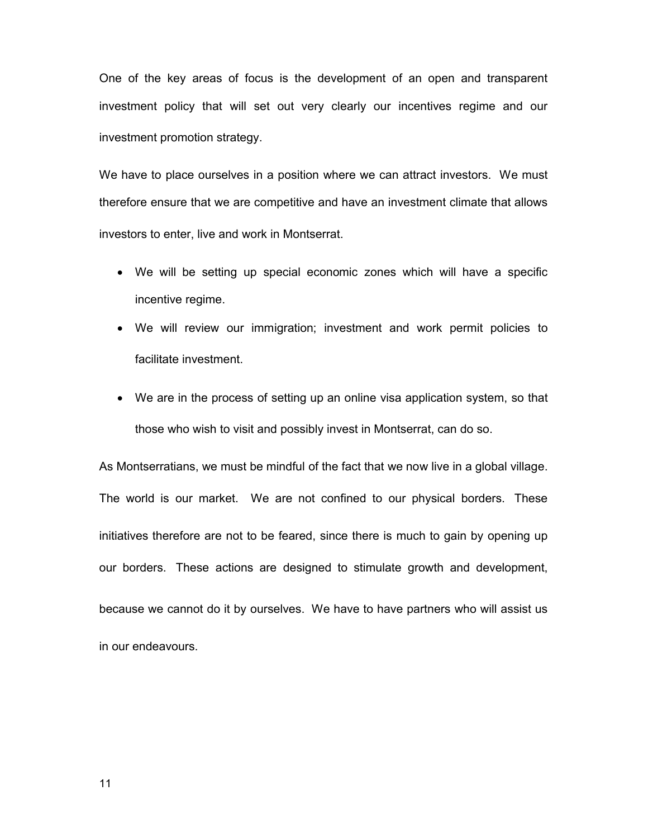One of the key areas of focus is the development of an open and transparent investment policy that will set out very clearly our incentives regime and our investment promotion strategy.

We have to place ourselves in a position where we can attract investors. We must therefore ensure that we are competitive and have an investment climate that allows investors to enter, live and work in Montserrat.

- We will be setting up special economic zones which will have a specific incentive regime.
- We will review our immigration; investment and work permit policies to facilitate investment.
- We are in the process of setting up an online visa application system, so that those who wish to visit and possibly invest in Montserrat, can do so.

As Montserratians, we must be mindful of the fact that we now live in a global village. The world is our market. We are not confined to our physical borders. These initiatives therefore are not to be feared, since there is much to gain by opening up our borders. These actions are designed to stimulate growth and development, because we cannot do it by ourselves. We have to have partners who will assist us

in our endeavours.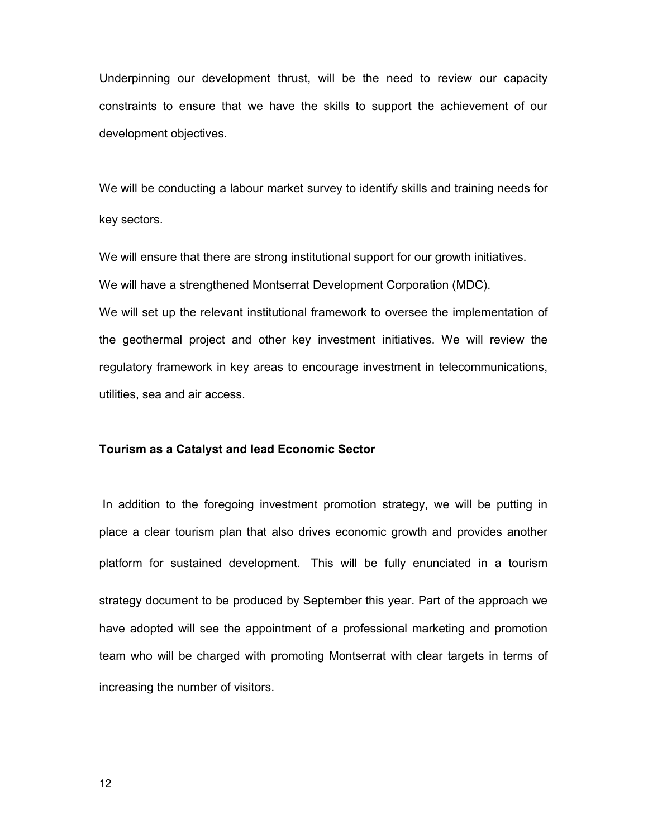Underpinning our development thrust, will be the need to review our capacity constraints to ensure that we have the skills to support the achievement of our development objectives.

We will be conducting a labour market survey to identify skills and training needs for key sectors.

We will ensure that there are strong institutional support for our growth initiatives. We will have a strengthened Montserrat Development Corporation (MDC).

We will set up the relevant institutional framework to oversee the implementation of the geothermal project and other key investment initiatives. We will review the regulatory framework in key areas to encourage investment in telecommunications, utilities, sea and air access.

#### **Tourism as a Catalyst and lead Economic Sector**

In addition to the foregoing investment promotion strategy, we will be putting in place a clear tourism plan that also drives economic growth and provides another platform for sustained development. This will be fully enunciated in a tourism strategy document to be produced by September this year. Part of the approach we have adopted will see the appointment of a professional marketing and promotion team who will be charged with promoting Montserrat with clear targets in terms of increasing the number of visitors.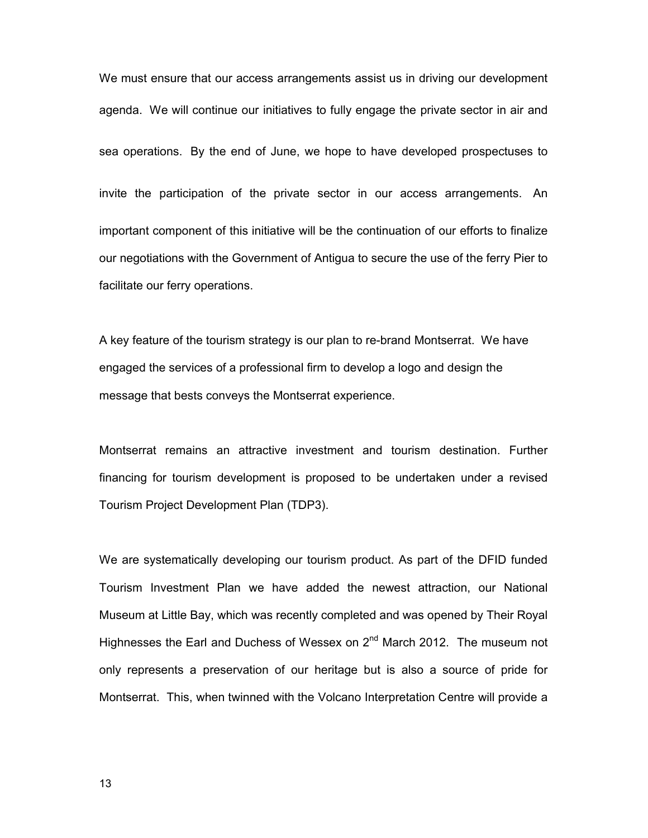We must ensure that our access arrangements assist us in driving our development agenda. We will continue our initiatives to fully engage the private sector in air and sea operations. By the end of June, we hope to have developed prospectuses to invite the participation of the private sector in our access arrangements. An important component of this initiative will be the continuation of our efforts to finalize our negotiations with the Government of Antigua to secure the use of the ferry Pier to facilitate our ferry operations.

A key feature of the tourism strategy is our plan to re-brand Montserrat. We have engaged the services of a professional firm to develop a logo and design the message that bests conveys the Montserrat experience.

Montserrat remains an attractive investment and tourism destination. Further financing for tourism development is proposed to be undertaken under a revised Tourism Project Development Plan (TDP3).

We are systematically developing our tourism product. As part of the DFID funded Tourism Investment Plan we have added the newest attraction, our National Museum at Little Bay, which was recently completed and was opened by Their Royal Highnesses the Earl and Duchess of Wessex on 2<sup>nd</sup> March 2012. The museum not only represents a preservation of our heritage but is also a source of pride for Montserrat. This, when twinned with the Volcano Interpretation Centre will provide a

13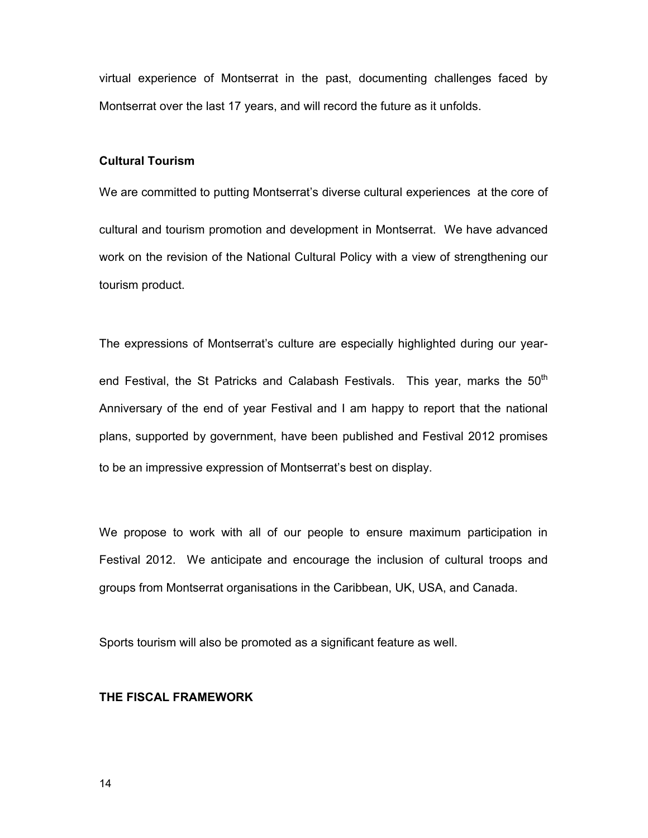virtual experience of Montserrat in the past, documenting challenges faced by Montserrat over the last 17 years, and will record the future as it unfolds.

# **Cultural Tourism**

We are committed to putting Montserrat's diverse cultural experiences at the core of cultural and tourism promotion and development in Montserrat. We have advanced work on the revision of the National Cultural Policy with a view of strengthening our tourism product.

The expressions of Montserrat's culture are especially highlighted during our yearend Festival, the St Patricks and Calabash Festivals. This year, marks the  $50<sup>th</sup>$ Anniversary of the end of year Festival and I am happy to report that the national plans, supported by government, have been published and Festival 2012 promises to be an impressive expression of Montserrat's best on display.

We propose to work with all of our people to ensure maximum participation in Festival 2012. We anticipate and encourage the inclusion of cultural troops and groups from Montserrat organisations in the Caribbean, UK, USA, and Canada.

Sports tourism will also be promoted as a significant feature as well.

#### **THE FISCAL FRAMEWORK**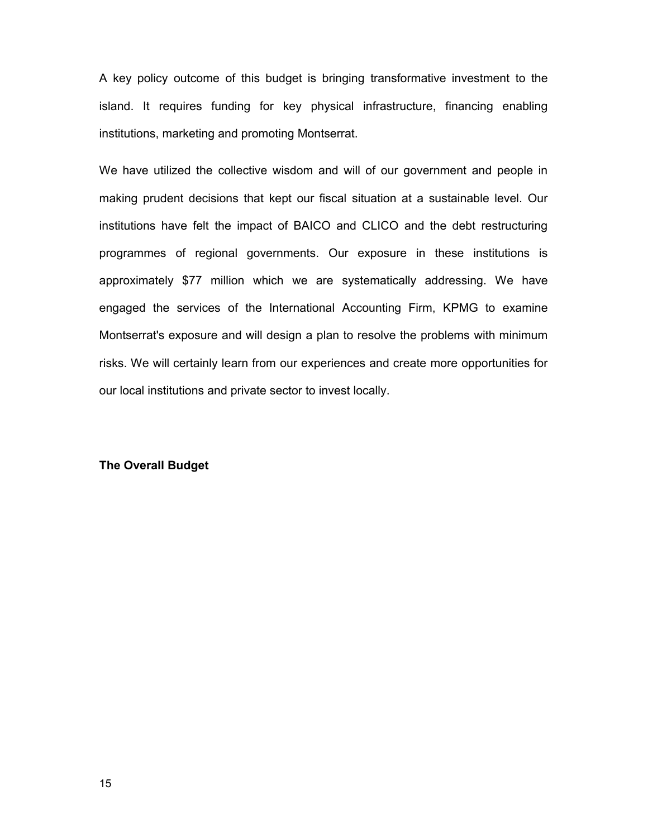A key policy outcome of this budget is bringing transformative investment to the island. It requires funding for key physical infrastructure, financing enabling institutions, marketing and promoting Montserrat.

We have utilized the collective wisdom and will of our government and people in making prudent decisions that kept our fiscal situation at a sustainable level. Our institutions have felt the impact of BAICO and CLICO and the debt restructuring programmes of regional governments. Our exposure in these institutions is approximately \$77 million which we are systematically addressing. We have engaged the services of the International Accounting Firm, KPMG to examine Montserrat's exposure and will design a plan to resolve the problems with minimum risks. We will certainly learn from our experiences and create more opportunities for our local institutions and private sector to invest locally.

## **The Overall Budget**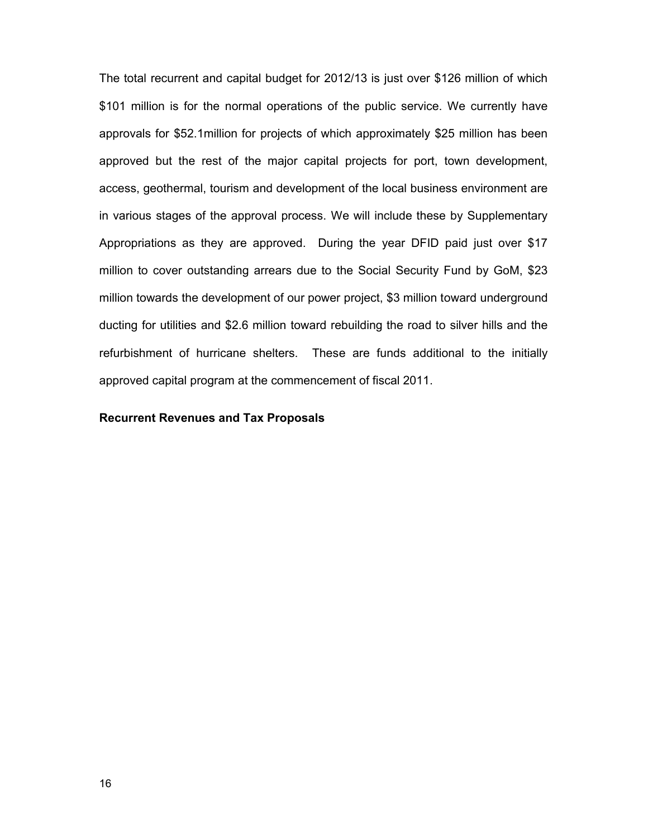The total recurrent and capital budget for 2012/13 is just over \$126 million of which \$101 million is for the normal operations of the public service. We currently have approvals for \$52.1million for projects of which approximately \$25 million has been approved but the rest of the major capital projects for port, town development, access, geothermal, tourism and development of the local business environment are in various stages of the approval process. We will include these by Supplementary Appropriations as they are approved. During the year DFID paid just over \$17 million to cover outstanding arrears due to the Social Security Fund by GoM, \$23 million towards the development of our power project, \$3 million toward underground ducting for utilities and \$2.6 million toward rebuilding the road to silver hills and the refurbishment of hurricane shelters. These are funds additional to the initially approved capital program at the commencement of fiscal 2011.

### **Recurrent Revenues and Tax Proposals**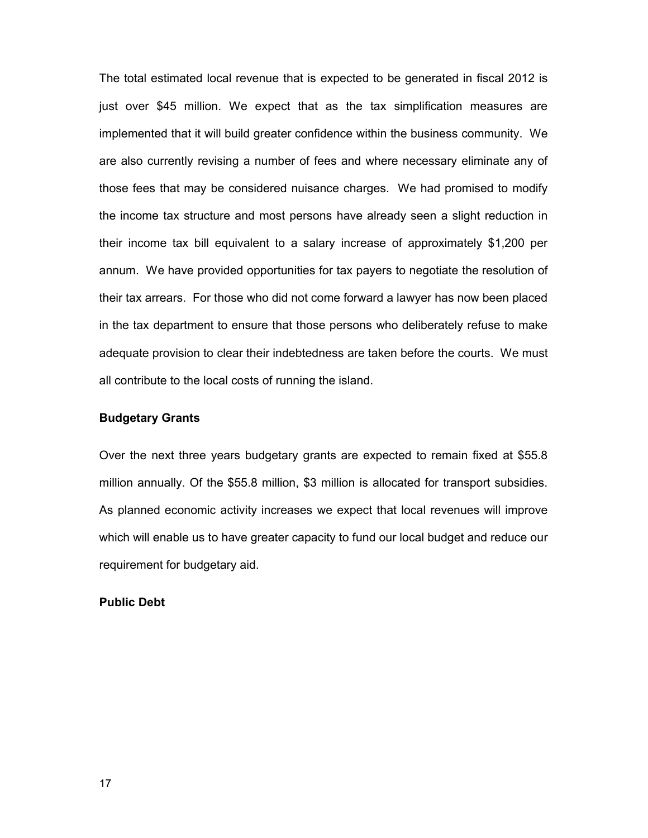The total estimated local revenue that is expected to be generated in fiscal 2012 is just over \$45 million. We expect that as the tax simplification measures are implemented that it will build greater confidence within the business community. We are also currently revising a number of fees and where necessary eliminate any of those fees that may be considered nuisance charges. We had promised to modify the income tax structure and most persons have already seen a slight reduction in their income tax bill equivalent to a salary increase of approximately \$1,200 per annum. We have provided opportunities for tax payers to negotiate the resolution of their tax arrears. For those who did not come forward a lawyer has now been placed in the tax department to ensure that those persons who deliberately refuse to make adequate provision to clear their indebtedness are taken before the courts. We must all contribute to the local costs of running the island.

### **Budgetary Grants**

Over the next three years budgetary grants are expected to remain fixed at \$55.8 million annually. Of the \$55.8 million, \$3 million is allocated for transport subsidies. As planned economic activity increases we expect that local revenues will improve which will enable us to have greater capacity to fund our local budget and reduce our requirement for budgetary aid.

# **Public Debt**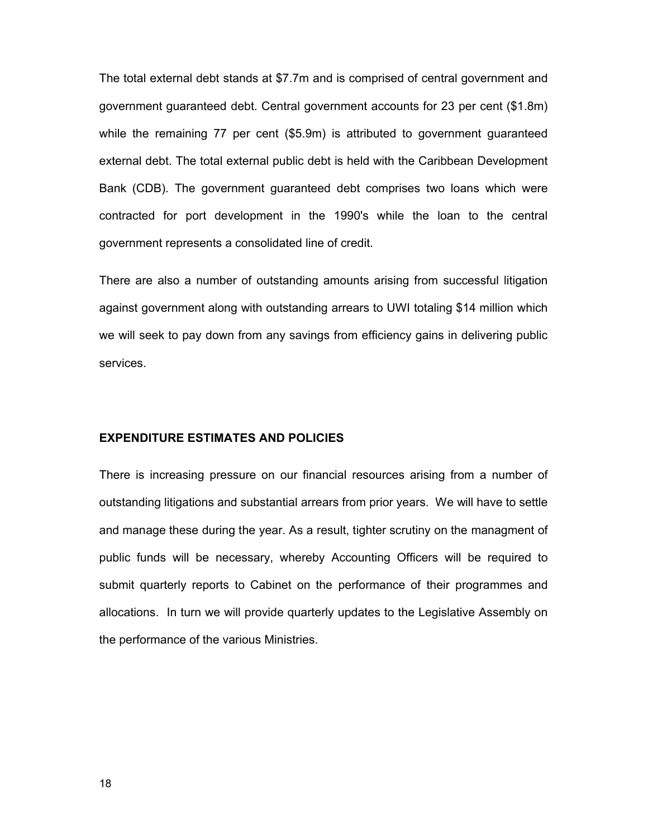The total external debt stands at \$7.7m and is comprised of central government and government guaranteed debt. Central government accounts for 23 per cent (\$1.8m) while the remaining 77 per cent (\$5.9m) is attributed to government guaranteed external debt. The total external public debt is held with the Caribbean Development Bank (CDB). The government guaranteed debt comprises two loans which were contracted for port development in the 1990's while the loan to the central government represents a consolidated line of credit.

There are also a number of outstanding amounts arising from successful litigation against government along with outstanding arrears to UWI totaling \$14 million which we will seek to pay down from any savings from efficiency gains in delivering public services.

# **EXPENDITURE ESTIMATES AND POLICIES**

There is increasing pressure on our financial resources arising from a number of outstanding litigations and substantial arrears from prior years. We will have to settle and manage these during the year. As a result, tighter scrutiny on the managment of public funds will be necessary, whereby Accounting Officers will be required to submit quarterly reports to Cabinet on the performance of their programmes and allocations. In turn we will provide quarterly updates to the Legislative Assembly on the performance of the various Ministries.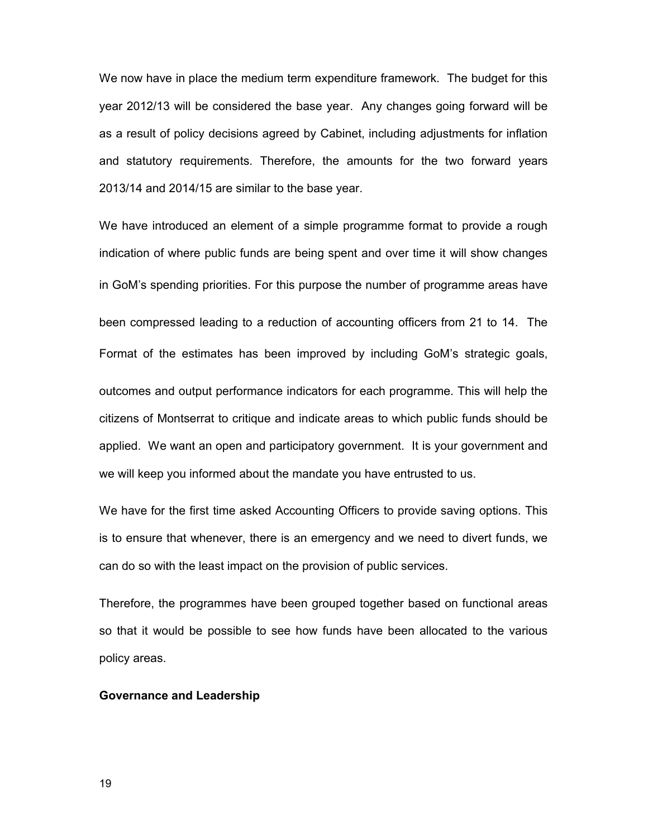We now have in place the medium term expenditure framework. The budget for this year 2012/13 will be considered the base year. Any changes going forward will be as a result of policy decisions agreed by Cabinet, including adjustments for inflation and statutory requirements. Therefore, the amounts for the two forward years 2013/14 and 2014/15 are similar to the base year.

We have introduced an element of a simple programme format to provide a rough indication of where public funds are being spent and over time it will show changes in GoM's spending priorities. For this purpose the number of programme areas have been compressed leading to a reduction of accounting officers from 21 to 14. The Format of the estimates has been improved by including GoM's strategic goals, outcomes and output performance indicators for each programme. This will help the citizens of Montserrat to critique and indicate areas to which public funds should be applied. We want an open and participatory government. It is your government and we will keep you informed about the mandate you have entrusted to us.

We have for the first time asked Accounting Officers to provide saving options. This is to ensure that whenever, there is an emergency and we need to divert funds, we can do so with the least impact on the provision of public services.

Therefore, the programmes have been grouped together based on functional areas so that it would be possible to see how funds have been allocated to the various policy areas.

#### **Governance and Leadership**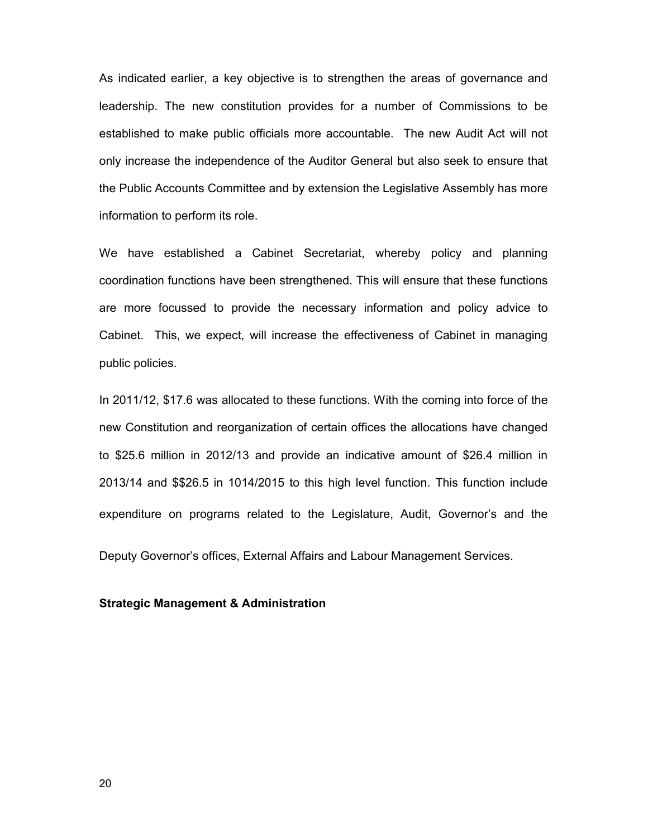As indicated earlier, a key objective is to strengthen the areas of governance and leadership. The new constitution provides for a number of Commissions to be established to make public officials more accountable. The new Audit Act will not only increase the independence of the Auditor General but also seek to ensure that the Public Accounts Committee and by extension the Legislative Assembly has more information to perform its role.

We have established a Cabinet Secretariat, whereby policy and planning coordination functions have been strengthened. This will ensure that these functions are more focussed to provide the necessary information and policy advice to Cabinet. This, we expect, will increase the effectiveness of Cabinet in managing public policies.

In 2011/12, \$17.6 was allocated to these functions. With the coming into force of the new Constitution and reorganization of certain offices the allocations have changed to \$25.6 million in 2012/13 and provide an indicative amount of \$26.4 million in 2013/14 and \$\$26.5 in 1014/2015 to this high level function. This function include expenditure on programs related to the Legislature, Audit, Governor's and the

Deputy Governor's offices, External Affairs and Labour Management Services.

#### **Strategic Management & Administration**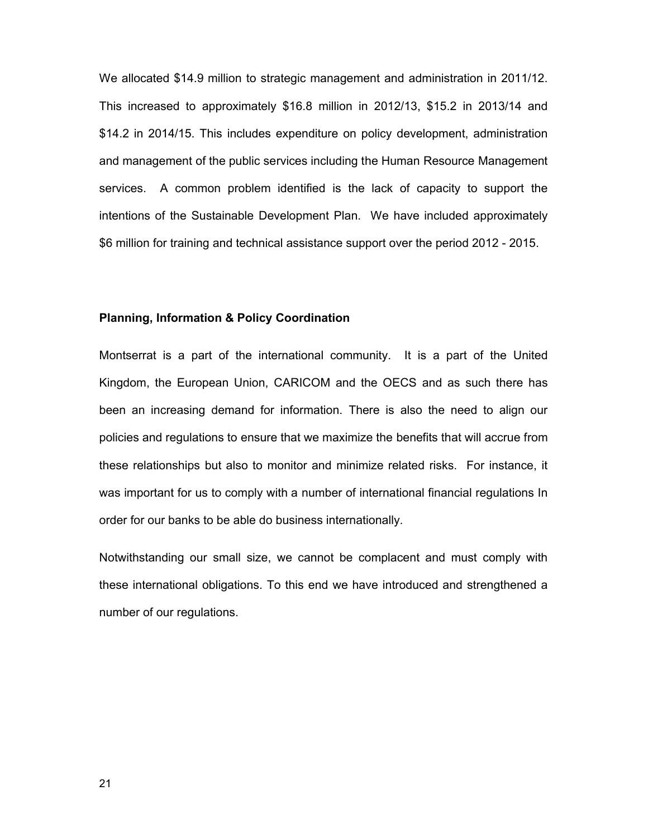We allocated \$14.9 million to strategic management and administration in 2011/12. This increased to approximately \$16.8 million in 2012/13, \$15.2 in 2013/14 and \$14.2 in 2014/15. This includes expenditure on policy development, administration and management of the public services including the Human Resource Management services. A common problem identified is the lack of capacity to support the intentions of the Sustainable Development Plan. We have included approximately \$6 million for training and technical assistance support over the period 2012 - 2015.

#### **Planning, Information & Policy Coordination**

Montserrat is a part of the international community. It is a part of the United Kingdom, the European Union, CARICOM and the OECS and as such there has been an increasing demand for information. There is also the need to align our policies and regulations to ensure that we maximize the benefits that will accrue from these relationships but also to monitor and minimize related risks. For instance, it was important for us to comply with a number of international financial regulations In order for our banks to be able do business internationally.

Notwithstanding our small size, we cannot be complacent and must comply with these international obligations. To this end we have introduced and strengthened a number of our regulations.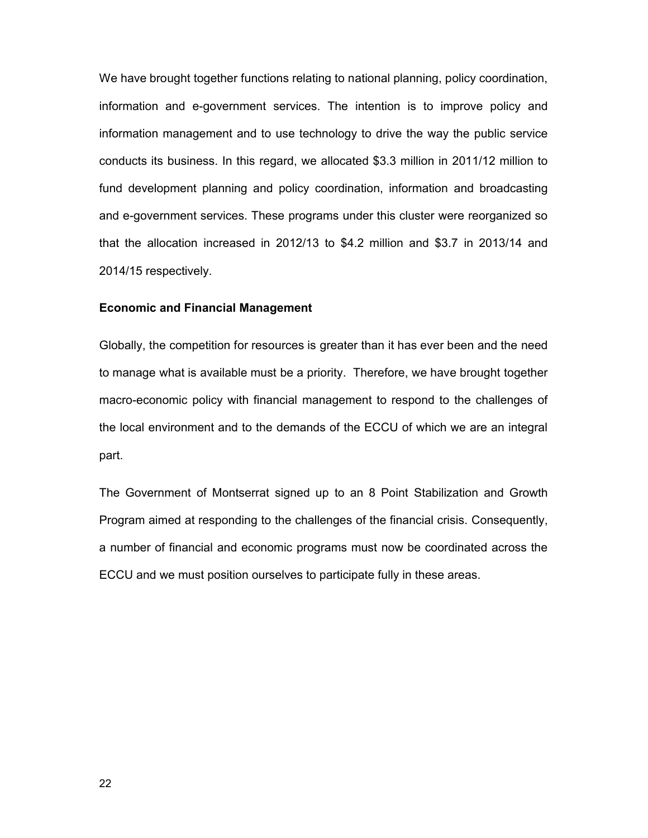We have brought together functions relating to national planning, policy coordination, information and e-government services. The intention is to improve policy and information management and to use technology to drive the way the public service conducts its business. In this regard, we allocated \$3.3 million in 2011/12 million to fund development planning and policy coordination, information and broadcasting and e-government services. These programs under this cluster were reorganized so that the allocation increased in 2012/13 to \$4.2 million and \$3.7 in 2013/14 and 2014/15 respectively.

#### **Economic and Financial Management**

Globally, the competition for resources is greater than it has ever been and the need to manage what is available must be a priority. Therefore, we have brought together macro-economic policy with financial management to respond to the challenges of the local environment and to the demands of the ECCU of which we are an integral part.

The Government of Montserrat signed up to an 8 Point Stabilization and Growth Program aimed at responding to the challenges of the financial crisis. Consequently, a number of financial and economic programs must now be coordinated across the ECCU and we must position ourselves to participate fully in these areas.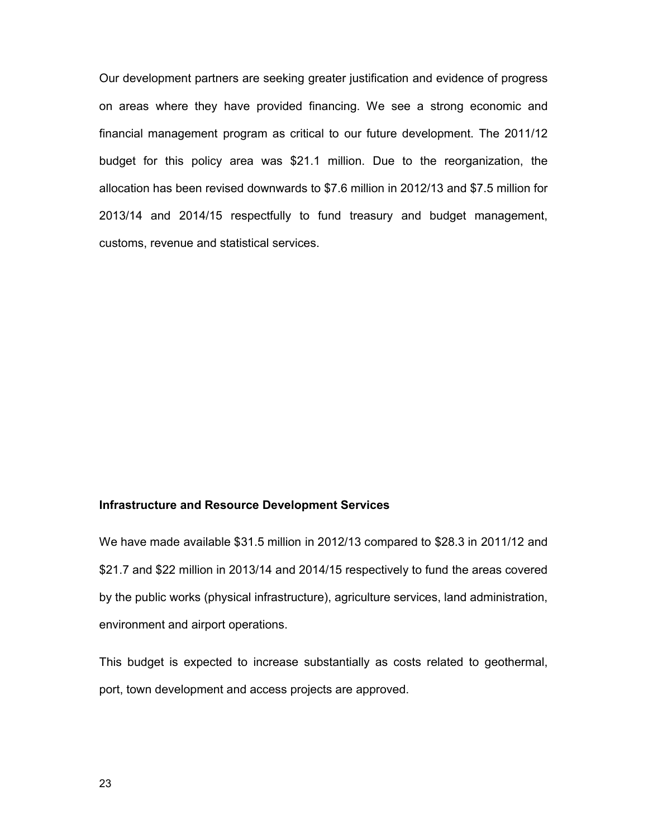Our development partners are seeking greater justification and evidence of progress on areas where they have provided financing. We see a strong economic and financial management program as critical to our future development. The 2011/12 budget for this policy area was \$21.1 million. Due to the reorganization, the allocation has been revised downwards to \$7.6 million in 2012/13 and \$7.5 million for 2013/14 and 2014/15 respectfully to fund treasury and budget management, customs, revenue and statistical services.

## **Infrastructure and Resource Development Services**

We have made available \$31.5 million in 2012/13 compared to \$28.3 in 2011/12 and \$21.7 and \$22 million in 2013/14 and 2014/15 respectively to fund the areas covered by the public works (physical infrastructure), agriculture services, land administration, environment and airport operations.

This budget is expected to increase substantially as costs related to geothermal, port, town development and access projects are approved.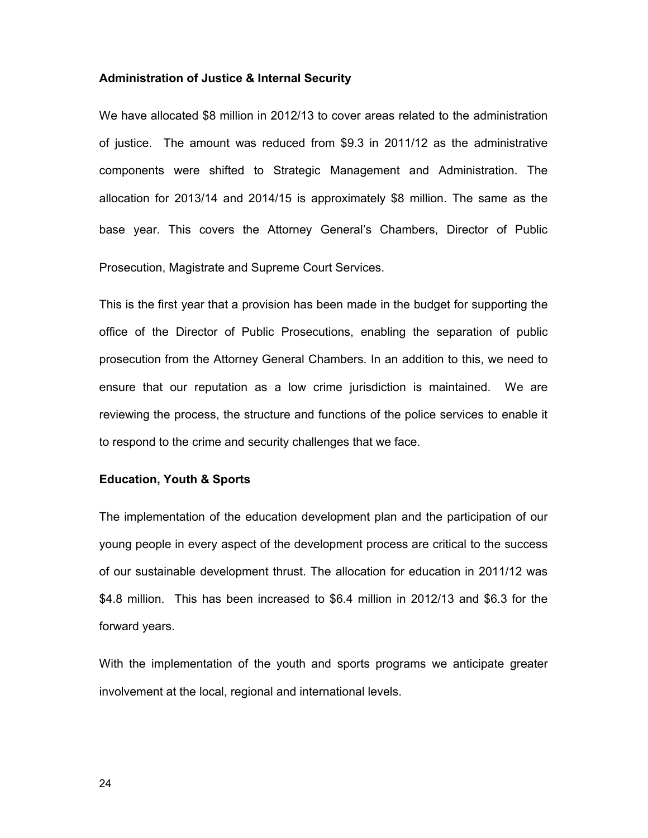### **Administration of Justice & Internal Security**

We have allocated \$8 million in 2012/13 to cover areas related to the administration of justice. The amount was reduced from \$9.3 in 2011/12 as the administrative components were shifted to Strategic Management and Administration. The allocation for 2013/14 and 2014/15 is approximately \$8 million. The same as the base year. This covers the Attorney General's Chambers, Director of Public Prosecution, Magistrate and Supreme Court Services.

This is the first year that a provision has been made in the budget for supporting the office of the Director of Public Prosecutions, enabling the separation of public prosecution from the Attorney General Chambers. In an addition to this, we need to ensure that our reputation as a low crime jurisdiction is maintained. We are reviewing the process, the structure and functions of the police services to enable it to respond to the crime and security challenges that we face.

## **Education, Youth & Sports**

The implementation of the education development plan and the participation of our young people in every aspect of the development process are critical to the success of our sustainable development thrust. The allocation for education in 2011/12 was \$4.8 million. This has been increased to \$6.4 million in 2012/13 and \$6.3 for the forward years.

With the implementation of the youth and sports programs we anticipate greater involvement at the local, regional and international levels.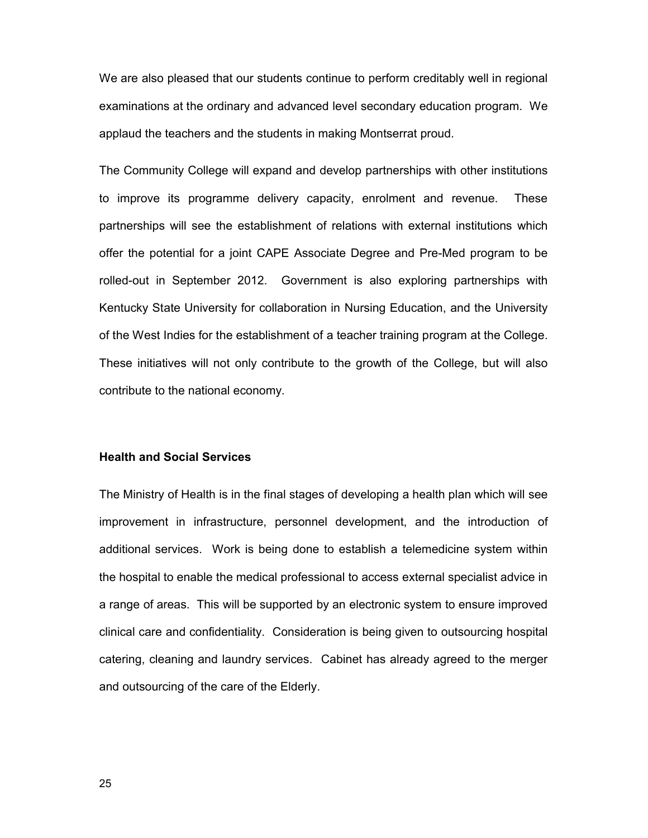We are also pleased that our students continue to perform creditably well in regional examinations at the ordinary and advanced level secondary education program. We applaud the teachers and the students in making Montserrat proud.

The Community College will expand and develop partnerships with other institutions to improve its programme delivery capacity, enrolment and revenue. These partnerships will see the establishment of relations with external institutions which offer the potential for a joint CAPE Associate Degree and Pre-Med program to be rolled-out in September 2012. Government is also exploring partnerships with Kentucky State University for collaboration in Nursing Education, and the University of the West Indies for the establishment of a teacher training program at the College. These initiatives will not only contribute to the growth of the College, but will also contribute to the national economy.

### **Health and Social Services**

The Ministry of Health is in the final stages of developing a health plan which will see improvement in infrastructure, personnel development, and the introduction of additional services. Work is being done to establish a telemedicine system within the hospital to enable the medical professional to access external specialist advice in a range of areas. This will be supported by an electronic system to ensure improved clinical care and confidentiality. Consideration is being given to outsourcing hospital catering, cleaning and laundry services. Cabinet has already agreed to the merger and outsourcing of the care of the Elderly.

25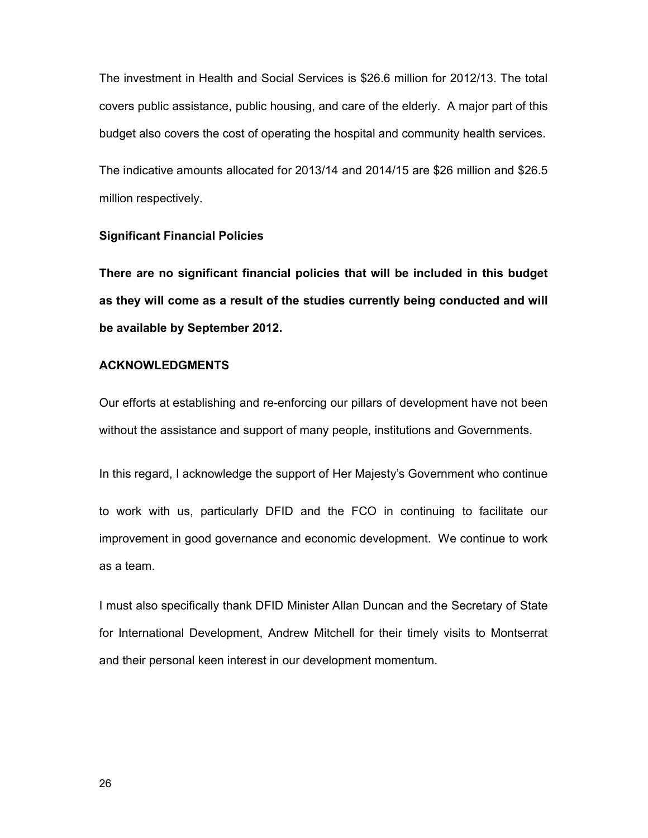The investment in Health and Social Services is \$26.6 million for 2012/13. The total covers public assistance, public housing, and care of the elderly. A major part of this budget also covers the cost of operating the hospital and community health services.

The indicative amounts allocated for 2013/14 and 2014/15 are \$26 million and \$26.5 million respectively.

### **Significant Financial Policies**

**There are no significant financial policies that will be included in this budget as they will come as a result of the studies currently being conducted and will be available by September 2012.**

## **ACKNOWLEDGMENTS**

Our efforts at establishing and re-enforcing our pillars of development have not been without the assistance and support of many people, institutions and Governments.

In this regard, I acknowledge the support of Her Majesty's Government who continue

to work with us, particularly DFID and the FCO in continuing to facilitate our improvement in good governance and economic development. We continue to work as a team.

I must also specifically thank DFID Minister Allan Duncan and the Secretary of State for International Development, Andrew Mitchell for their timely visits to Montserrat and their personal keen interest in our development momentum.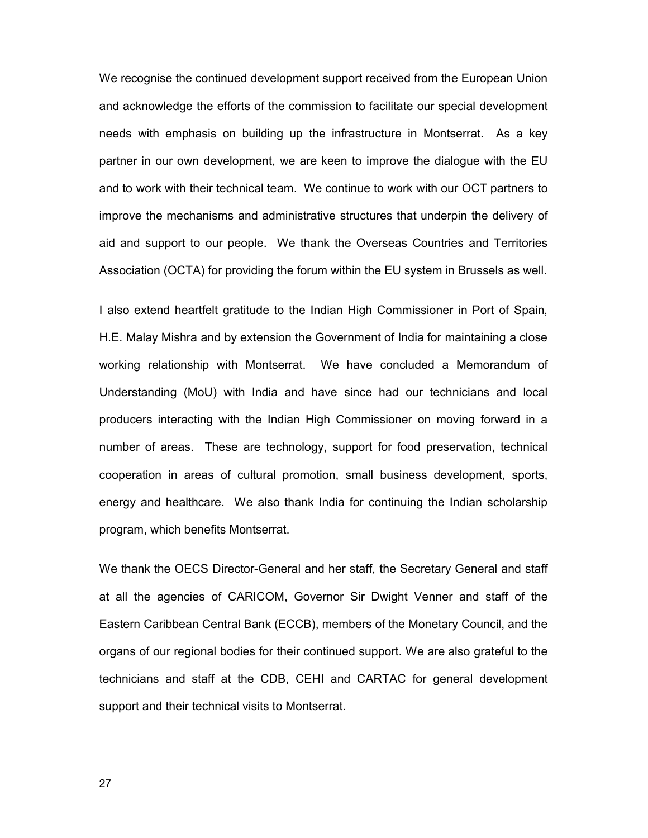We recognise the continued development support received from the European Union and acknowledge the efforts of the commission to facilitate our special development needs with emphasis on building up the infrastructure in Montserrat. As a key partner in our own development, we are keen to improve the dialogue with the EU and to work with their technical team. We continue to work with our OCT partners to improve the mechanisms and administrative structures that underpin the delivery of aid and support to our people. We thank the Overseas Countries and Territories Association (OCTA) for providing the forum within the EU system in Brussels as well.

I also extend heartfelt gratitude to the Indian High Commissioner in Port of Spain, H.E. Malay Mishra and by extension the Government of India for maintaining a close working relationship with Montserrat. We have concluded a Memorandum of Understanding (MoU) with India and have since had our technicians and local producers interacting with the Indian High Commissioner on moving forward in a number of areas. These are technology, support for food preservation, technical cooperation in areas of cultural promotion, small business development, sports, energy and healthcare. We also thank India for continuing the Indian scholarship program, which benefits Montserrat.

We thank the OECS Director-General and her staff, the Secretary General and staff at all the agencies of CARICOM, Governor Sir Dwight Venner and staff of the Eastern Caribbean Central Bank (ECCB), members of the Monetary Council, and the organs of our regional bodies for their continued support. We are also grateful to the technicians and staff at the CDB, CEHI and CARTAC for general development support and their technical visits to Montserrat.

27